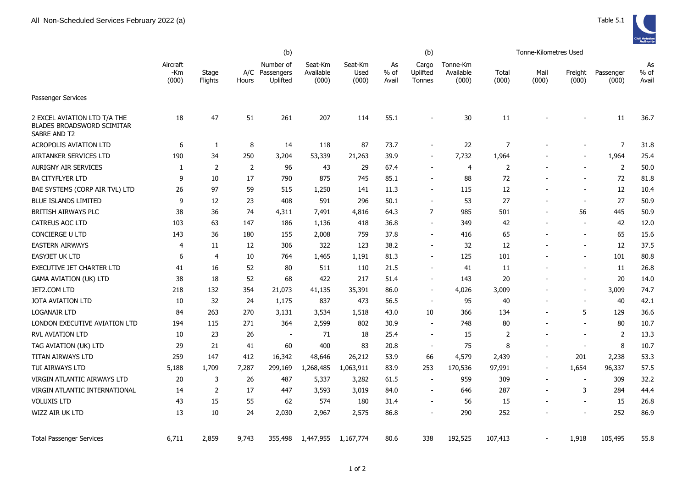|                                                                                   | (b)                      |                  |                |                                         |                               |                          |                       | (b)                         |                                |                | Tonne-Kilometres Used    |                          |                    |                       |
|-----------------------------------------------------------------------------------|--------------------------|------------------|----------------|-----------------------------------------|-------------------------------|--------------------------|-----------------------|-----------------------------|--------------------------------|----------------|--------------------------|--------------------------|--------------------|-----------------------|
|                                                                                   | Aircraft<br>-Km<br>(000) | Stage<br>Flights | Hours          | Number of<br>A/C Passengers<br>Uplifted | Seat-Km<br>Available<br>(000) | Seat-Km<br>Used<br>(000) | As<br>$%$ of<br>Avail | Cargo<br>Uplifted<br>Tonnes | Tonne-Km<br>Available<br>(000) | Total<br>(000) | Mail<br>(000)            | Freight<br>(000)         | Passenger<br>(000) | As<br>$%$ of<br>Avail |
| <b>Passenger Services</b>                                                         |                          |                  |                |                                         |                               |                          |                       |                             |                                |                |                          |                          |                    |                       |
| 2 EXCEL AVIATION LTD T/A THE<br><b>BLADES BROADSWORD SCIMITAR</b><br>SABRE AND T2 | 18                       | 47               | 51             | 261                                     | 207                           | 114                      | 55.1                  | $\blacksquare$              | 30                             | 11             |                          |                          | 11                 | 36.7                  |
| <b>ACROPOLIS AVIATION LTD</b>                                                     | 6                        | $\mathbf{1}$     | 8              | 14                                      | 118                           | 87                       | 73.7                  | $\overline{\phantom{0}}$    | 22                             | $\overline{7}$ |                          |                          | $\overline{7}$     | 31.8                  |
| AIRTANKER SERVICES LTD                                                            | 190                      | 34               | 250            | 3,204                                   | 53,339                        | 21,263                   | 39.9                  | $\overline{\phantom{0}}$    | 7,732                          | 1,964          |                          |                          | 1,964              | 25.4                  |
| <b>AURIGNY AIR SERVICES</b>                                                       | 1                        | $\overline{2}$   | $\overline{2}$ | 96                                      | 43                            | 29                       | 67.4                  | $\overline{\phantom{0}}$    | 4                              | $\overline{2}$ |                          |                          | $\overline{2}$     | 50.0                  |
| <b>BA CITYFLYER LTD</b>                                                           | 9                        | 10               | 17             | 790                                     | 875                           | 745                      | 85.1                  | $\sim$                      | 88                             | 72             |                          |                          | 72                 | 81.8                  |
| BAE SYSTEMS (CORP AIR TVL) LTD                                                    | 26                       | 97               | 59             | 515                                     | 1,250                         | 141                      | 11.3                  | $\blacksquare$              | 115                            | 12             |                          |                          | 12                 | 10.4                  |
| <b>BLUE ISLANDS LIMITED</b>                                                       | 9                        | 12               | 23             | 408                                     | 591                           | 296                      | 50.1                  |                             | 53                             | 27             | $\blacksquare$           | $\overline{\phantom{a}}$ | 27                 | 50.9                  |
| <b>BRITISH AIRWAYS PLC</b>                                                        | 38                       | 36               | 74             | 4,311                                   | 7,491                         | 4,816                    | 64.3                  | $\overline{7}$              | 985                            | 501            | $\overline{\phantom{a}}$ | 56                       | 445                | 50.9                  |
| <b>CATREUS AOC LTD</b>                                                            | 103                      | 63               | 147            | 186                                     | 1,136                         | 418                      | 36.8                  | ÷                           | 349                            | 42             | $\overline{\phantom{a}}$ |                          | 42                 | 12.0                  |
| <b>CONCIERGE U LTD</b>                                                            | 143                      | 36               | 180            | 155                                     | 2,008                         | 759                      | 37.8                  |                             | 416                            | 65             |                          |                          | 65                 | 15.6                  |
| <b>EASTERN AIRWAYS</b>                                                            | 4                        | 11               | 12             | 306                                     | 322                           | 123                      | 38.2                  | $\sim$                      | 32                             | 12             |                          |                          | 12                 | 37.5                  |
| <b>EASYJET UK LTD</b>                                                             | 6                        | $\overline{4}$   | 10             | 764                                     | 1,465                         | 1,191                    | 81.3                  |                             | 125                            | 101            |                          |                          | 101                | 80.8                  |
| EXECUTIVE JET CHARTER LTD                                                         | 41                       | 16               | 52             | 80                                      | 511                           | 110                      | 21.5                  | ۰                           | 41                             | 11             |                          |                          | 11                 | 26.8                  |
| <b>GAMA AVIATION (UK) LTD</b>                                                     | 38                       | 18               | 52             | 68                                      | 422                           | 217                      | 51.4                  |                             | 143                            | 20             |                          |                          | 20                 | 14.0                  |
| JET2.COM LTD                                                                      | 218                      | 132              | 354            | 21,073                                  | 41,135                        | 35,391                   | 86.0                  |                             | 4,026                          | 3,009          |                          |                          | 3,009              | 74.7                  |
| JOTA AVIATION LTD                                                                 | 10                       | 32               | 24             | 1,175                                   | 837                           | 473                      | 56.5                  | $\overline{\phantom{a}}$    | 95                             | 40             | $\blacksquare$           | $\overline{\phantom{a}}$ | 40                 | 42.1                  |
| LOGANAIR LTD                                                                      | 84                       | 263              | 270            | 3,131                                   | 3,534                         | 1,518                    | 43.0                  | 10                          | 366                            | 134            | $\blacksquare$           | 5                        | 129                | 36.6                  |
| LONDON EXECUTIVE AVIATION LTD                                                     | 194                      | 115              | 271            | 364                                     | 2,599                         | 802                      | 30.9                  | $\overline{\phantom{a}}$    | 748                            | 80             |                          | $\overline{a}$           | 80                 | 10.7                  |
| <b>RVL AVIATION LTD</b>                                                           | 10                       | 23               | 26             | $\overline{\phantom{a}}$                | 71                            | 18                       | 25.4                  | $\overline{\phantom{a}}$    | 15                             | 2              | $\blacksquare$           | $\overline{\phantom{a}}$ | 2                  | 13.3                  |
| TAG AVIATION (UK) LTD                                                             | 29                       | 21               | 41             | 60                                      | 400                           | 83                       | 20.8                  | $\blacksquare$              | 75                             | 8              |                          |                          | 8                  | 10.7                  |
| TITAN AIRWAYS LTD                                                                 | 259                      | 147              | 412            | 16,342                                  | 48,646                        | 26,212                   | 53.9                  | 66                          | 4,579                          | 2,439          | $\overline{\phantom{a}}$ | 201                      | 2,238              | 53.3                  |
| TUI AIRWAYS LTD                                                                   | 5,188                    | 1,709            | 7,287          | 299,169                                 | 1,268,485                     | 1,063,911                | 83.9                  | 253                         | 170,536                        | 97,991         | $\blacksquare$           | 1,654                    | 96,337             | 57.5                  |
| <b>VIRGIN ATLANTIC AIRWAYS LTD</b>                                                | 20                       | 3                | 26             | 487                                     | 5,337                         | 3,282                    | 61.5                  | $\overline{\phantom{a}}$    | 959                            | 309            | $\blacksquare$           | $\sim$                   | 309                | 32.2                  |
| VIRGIN ATLANTIC INTERNATIONAL                                                     | 14                       | 2                | 17             | 447                                     | 3,593                         | 3,019                    | 84.0                  | $\overline{\phantom{a}}$    | 646                            | 287            |                          | 3                        | 284                | 44.4                  |
| <b>VOLUXIS LTD</b>                                                                | 43                       | 15               | 55             | 62                                      | 574                           | 180                      | 31.4                  |                             | 56                             | 15             |                          | $\overline{\phantom{a}}$ | 15                 | 26.8                  |
| WIZZ AIR UK LTD                                                                   | 13                       | 10               | 24             | 2,030                                   | 2,967                         | 2,575                    | 86.8                  |                             | 290                            | 252            |                          |                          | 252                | 86.9                  |
| <b>Total Passenger Services</b>                                                   | 6,711                    | 2,859            | 9,743          | 355,498                                 | 1,447,955                     | 1,167,774                | 80.6                  | 338                         | 192,525                        | 107,413        |                          | 1,918                    | 105,495            | 55.8                  |